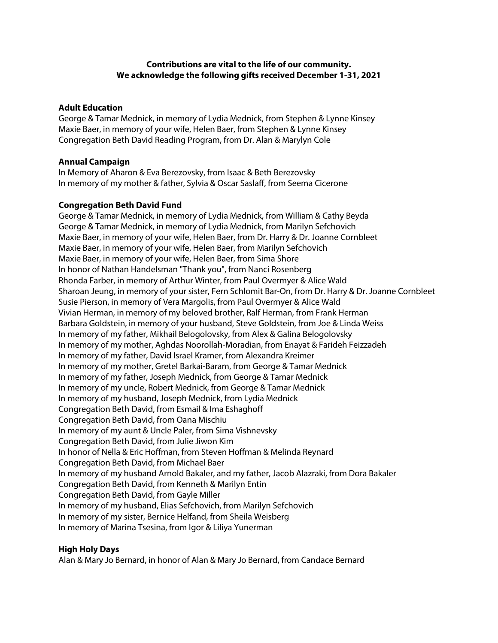# **Contributions are vital to the life of our community. We acknowledge the following gifts received December 1-31, 2021**

## **Adult Education**

George & Tamar Mednick, in memory of Lydia Mednick, from Stephen & Lynne Kinsey Maxie Baer, in memory of your wife, Helen Baer, from Stephen & Lynne Kinsey Congregation Beth David Reading Program, from Dr. Alan & Marylyn Cole

## **Annual Campaign**

In Memory of Aharon & Eva Berezovsky, from Isaac & Beth Berezovsky In memory of my mother & father, Sylvia & Oscar Saslaff, from Seema Cicerone

## **Congregation Beth David Fund**

George & Tamar Mednick, in memory of Lydia Mednick, from William & Cathy Beyda George & Tamar Mednick, in memory of Lydia Mednick, from Marilyn Sefchovich Maxie Baer, in memory of your wife, Helen Baer, from Dr. Harry & Dr. Joanne Cornbleet Maxie Baer, in memory of your wife, Helen Baer, from Marilyn Sefchovich Maxie Baer, in memory of your wife, Helen Baer, from Sima Shore In honor of Nathan Handelsman "Thank you", from Nanci Rosenberg Rhonda Farber, in memory of Arthur Winter, from Paul Overmyer & Alice Wald Sharoan Jeung, in memory of your sister, Fern Schlomit Bar-On, from Dr. Harry & Dr. Joanne Cornbleet Susie Pierson, in memory of Vera Margolis, from Paul Overmyer & Alice Wald Vivian Herman, in memory of my beloved brother, Ralf Herman, from Frank Herman Barbara Goldstein, in memory of your husband, Steve Goldstein, from Joe & Linda Weiss In memory of my father, Mikhail Belogolovsky, from Alex & Galina Belogolovsky In memory of my mother, Aghdas Noorollah-Moradian, from Enayat & Farideh Feizzadeh In memory of my father, David Israel Kramer, from Alexandra Kreimer In memory of my mother, Gretel Barkai-Baram, from George & Tamar Mednick In memory of my father, Joseph Mednick, from George & Tamar Mednick In memory of my uncle, Robert Mednick, from George & Tamar Mednick In memory of my husband, Joseph Mednick, from Lydia Mednick Congregation Beth David, from Esmail & Ima Eshaghoff Congregation Beth David, from Oana Mischiu In memory of my aunt & Uncle Paler, from Sima Vishnevsky Congregation Beth David, from Julie Jiwon Kim In honor of Nella & Eric Hoffman, from Steven Hoffman & Melinda Reynard Congregation Beth David, from Michael Baer In memory of my husband Arnold Bakaler, and my father, Jacob Alazraki, from Dora Bakaler Congregation Beth David, from Kenneth & Marilyn Entin Congregation Beth David, from Gayle Miller In memory of my husband, Elias Sefchovich, from Marilyn Sefchovich In memory of my sister, Bernice Helfand, from Sheila Weisberg In memory of Marina Tsesina, from Igor & Liliya Yunerman

## **High Holy Days**

Alan & Mary Jo Bernard, in honor of Alan & Mary Jo Bernard, from Candace Bernard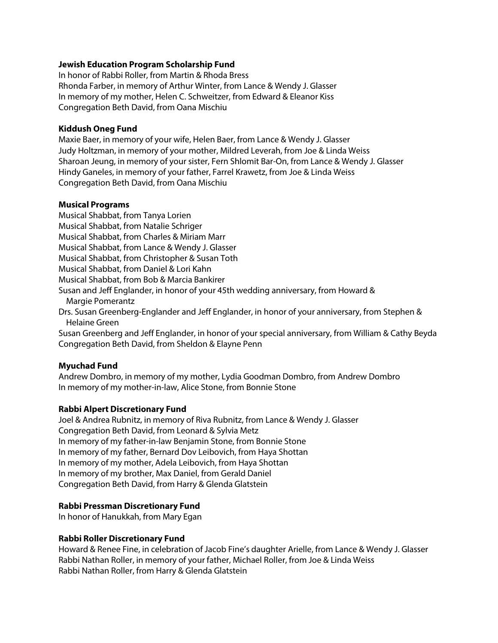## **Jewish Education Program Scholarship Fund**

In honor of Rabbi Roller, from Martin & Rhoda Bress Rhonda Farber, in memory of Arthur Winter, from Lance & Wendy J. Glasser In memory of my mother, Helen C. Schweitzer, from Edward & Eleanor Kiss Congregation Beth David, from Oana Mischiu

## **Kiddush Oneg Fund**

Maxie Baer, in memory of your wife, Helen Baer, from Lance & Wendy J. Glasser Judy Holtzman, in memory of your mother, Mildred Leverah, from Joe & Linda Weiss Sharoan Jeung, in memory of your sister, Fern Shlomit Bar-On, from Lance & Wendy J. Glasser Hindy Ganeles, in memory of your father, Farrel Krawetz, from Joe & Linda Weiss Congregation Beth David, from Oana Mischiu

## **Musical Programs**

Musical Shabbat, from Tanya Lorien Musical Shabbat, from Natalie Schriger Musical Shabbat, from Charles & Miriam Marr Musical Shabbat, from Lance & Wendy J. Glasser Musical Shabbat, from Christopher & Susan Toth Musical Shabbat, from Daniel & Lori Kahn Musical Shabbat, from Bob & Marcia Bankirer Susan and Jeff Englander, in honor of your 45th wedding anniversary, from Howard & Margie Pomerantz Drs. Susan Greenberg-Englander and Jeff Englander, in honor of your anniversary, from Stephen & Helaine Green Susan Greenberg and Jeff Englander, in honor of your special anniversary, from William & Cathy Beyda Congregation Beth David, from Sheldon & Elayne Penn

# **Myuchad Fund**

Andrew Dombro, in memory of my mother, Lydia Goodman Dombro, from Andrew Dombro In memory of my mother-in-law, Alice Stone, from Bonnie Stone

# **Rabbi Alpert Discretionary Fund**

Joel & Andrea Rubnitz, in memory of Riva Rubnitz, from Lance & Wendy J. Glasser Congregation Beth David, from Leonard & Sylvia Metz In memory of my father-in-law Benjamin Stone, from Bonnie Stone In memory of my father, Bernard Dov Leibovich, from Haya Shottan In memory of my mother, Adela Leibovich, from Haya Shottan In memory of my brother, Max Daniel, from Gerald Daniel Congregation Beth David, from Harry & Glenda Glatstein

## **Rabbi Pressman Discretionary Fund**

In honor of Hanukkah, from Mary Egan

## **Rabbi Roller Discretionary Fund**

Howard & Renee Fine, in celebration of Jacob Fine's daughter Arielle, from Lance & Wendy J. Glasser Rabbi Nathan Roller, in memory of your father, Michael Roller, from Joe & Linda Weiss Rabbi Nathan Roller, from Harry & Glenda Glatstein